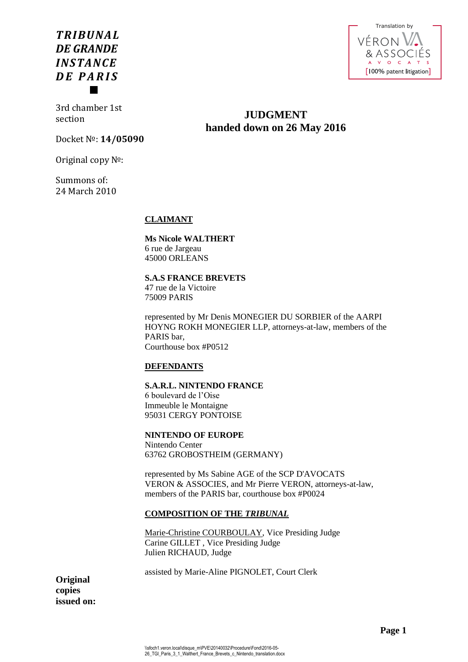# *TRIBUNAL DE GRANDE INSTANCE D E P A R I S*



3rd chamber 1st section

Docket №: **14/05090**

Original copy №:

Summons of: 24 March 2010

**CLAIMANT**

# **Ms Nicole WALTHERT** 6 rue de Jargeau 45000 ORLEANS

# **S.A.S FRANCE BREVETS** 47 rue de la Victoire

75009 PARIS

represented by Mr Denis MONEGIER DU SORBIER of the AARPI HOYNG ROKH MONEGIER LLP, attorneys-at-law, members of the PARIS bar, Courthouse box #P0512

**JUDGMENT handed down on 26 May 2016**

# **DEFENDANTS**

# **S.A.R.L. NINTENDO FRANCE**

6 boulevard de l'Oise Immeuble le Montaigne 95031 CERGY PONTOISE

# **NINTENDO OF EUROPE**

Nintendo Center 63762 GROBOSTHEIM (GERMANY)

represented by Ms Sabine AGE of the SCP D'AVOCATS VERON & ASSOCIES, and Mr Pierre VERON, attorneys-at-law, members of the PARIS bar, courthouse box #P0024

# **COMPOSITION OF THE** *TRIBUNAL*

Marie-Christine COURBOULAY, Vice Presiding Judge Carine GILLET , Vice Presiding Judge Julien RICHAUD, Judge

assisted by Marie-Aline PIGNOLET, Court Clerk

**Original copies issued on:**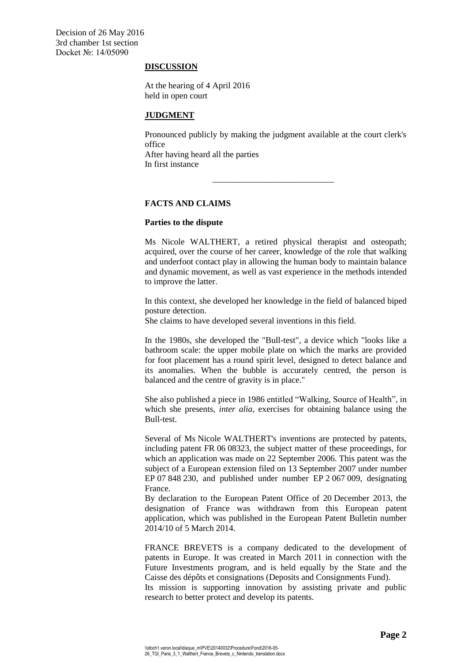## **DISCUSSION**

At the hearing of 4 April 2016 held in open court

# **JUDGMENT**

Pronounced publicly by making the judgment available at the court clerk's office

\_\_\_\_\_\_\_\_\_\_\_\_\_\_\_\_\_\_\_\_\_\_\_\_\_\_\_\_

After having heard all the parties In first instance

# **FACTS AND CLAIMS**

# **Parties to the dispute**

Ms Nicole WALTHERT, a retired physical therapist and osteopath; acquired, over the course of her career, knowledge of the role that walking and underfoot contact play in allowing the human body to maintain balance and dynamic movement, as well as vast experience in the methods intended to improve the latter.

In this context, she developed her knowledge in the field of balanced biped posture detection.

She claims to have developed several inventions in this field.

In the 1980s, she developed the "Bull-test", a device which "looks like a bathroom scale: the upper mobile plate on which the marks are provided for foot placement has a round spirit level, designed to detect balance and its anomalies. When the bubble is accurately centred, the person is balanced and the centre of gravity is in place."

She also published a piece in 1986 entitled "Walking, Source of Health", in which she presents, *inter alia*, exercises for obtaining balance using the Bull-test.

Several of Ms Nicole WALTHERT's inventions are protected by patents, including patent FR 06 08323, the subject matter of these proceedings, for which an application was made on 22 September 2006. This patent was the subject of a European extension filed on 13 September 2007 under number EP 07 848 230, and published under number EP 2 067 009, designating France.

By declaration to the European Patent Office of 20 December 2013, the designation of France was withdrawn from this European patent application, which was published in the European Patent Bulletin number 2014/10 of 5 March 2014.

FRANCE BREVETS is a company dedicated to the development of patents in Europe. It was created in March 2011 in connection with the Future Investments program, and is held equally by the State and the Caisse des dépôts et consignations (Deposits and Consignments Fund).

Its mission is supporting innovation by assisting private and public research to better protect and develop its patents.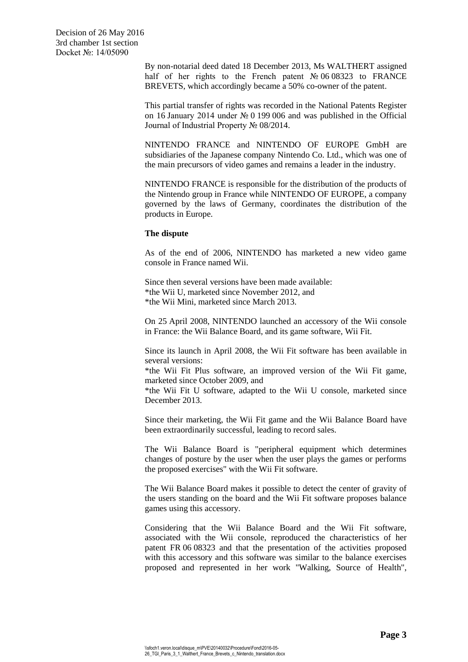> By non-notarial deed dated 18 December 2013, Ms WALTHERT assigned half of her rights to the French patent № 06 08323 to FRANCE BREVETS, which accordingly became a 50% co-owner of the patent.

> This partial transfer of rights was recorded in the National Patents Register on 16 January 2014 under № 0 199 006 and was published in the Official Journal of Industrial Property № 08/2014.

> NINTENDO FRANCE and NINTENDO OF EUROPE GmbH are subsidiaries of the Japanese company Nintendo Co. Ltd., which was one of the main precursors of video games and remains a leader in the industry.

> NINTENDO FRANCE is responsible for the distribution of the products of the Nintendo group in France while NINTENDO OF EUROPE, a company governed by the laws of Germany, coordinates the distribution of the products in Europe.

## **The dispute**

As of the end of 2006, NINTENDO has marketed a new video game console in France named Wii.

Since then several versions have been made available: \*the Wii U, marketed since November 2012, and \*the Wii Mini, marketed since March 2013.

On 25 April 2008, NINTENDO launched an accessory of the Wii console in France: the Wii Balance Board, and its game software, Wii Fit.

Since its launch in April 2008, the Wii Fit software has been available in several versions:

\*the Wii Fit Plus software, an improved version of the Wii Fit game, marketed since October 2009, and

\*the Wii Fit U software, adapted to the Wii U console, marketed since December 2013.

Since their marketing, the Wii Fit game and the Wii Balance Board have been extraordinarily successful, leading to record sales.

The Wii Balance Board is "peripheral equipment which determines changes of posture by the user when the user plays the games or performs the proposed exercises" with the Wii Fit software.

The Wii Balance Board makes it possible to detect the center of gravity of the users standing on the board and the Wii Fit software proposes balance games using this accessory.

Considering that the Wii Balance Board and the Wii Fit software, associated with the Wii console, reproduced the characteristics of her patent FR 06 08323 and that the presentation of the activities proposed with this accessory and this software was similar to the balance exercises proposed and represented in her work "Walking, Source of Health",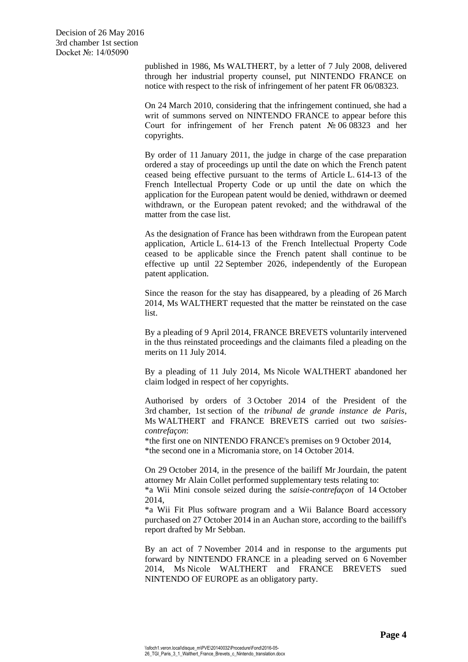published in 1986, Ms WALTHERT, by a letter of 7 July 2008, delivered through her industrial property counsel, put NINTENDO FRANCE on notice with respect to the risk of infringement of her patent FR 06/08323.

On 24 March 2010, considering that the infringement continued, she had a writ of summons served on NINTENDO FRANCE to appear before this Court for infringement of her French patent № 06 08323 and her copyrights.

By order of 11 January 2011, the judge in charge of the case preparation ordered a stay of proceedings up until the date on which the French patent ceased being effective pursuant to the terms of Article L. 614-13 of the French Intellectual Property Code or up until the date on which the application for the European patent would be denied, withdrawn or deemed withdrawn, or the European patent revoked; and the withdrawal of the matter from the case list.

As the designation of France has been withdrawn from the European patent application, Article L. 614-13 of the French Intellectual Property Code ceased to be applicable since the French patent shall continue to be effective up until 22 September 2026, independently of the European patent application.

Since the reason for the stay has disappeared, by a pleading of 26 March 2014, Ms WALTHERT requested that the matter be reinstated on the case list.

By a pleading of 9 April 2014, FRANCE BREVETS voluntarily intervened in the thus reinstated proceedings and the claimants filed a pleading on the merits on 11 July 2014.

By a pleading of 11 July 2014, Ms Nicole WALTHERT abandoned her claim lodged in respect of her copyrights.

Authorised by orders of 3 October 2014 of the President of the 3rd chamber, 1st section of the *tribunal de grande instance de Paris*, Ms WALTHERT and FRANCE BREVETS carried out two *saisiescontrefaçon*:

\*the first one on NINTENDO FRANCE's premises on 9 October 2014, \*the second one in a Micromania store, on 14 October 2014.

On 29 October 2014, in the presence of the bailiff Mr Jourdain, the patent attorney Mr Alain Collet performed supplementary tests relating to:

\*a Wii Mini console seized during the *saisie-contrefaçon* of 14 October 2014,

\*a Wii Fit Plus software program and a Wii Balance Board accessory purchased on 27 October 2014 in an Auchan store, according to the bailiff's report drafted by Mr Sebban.

By an act of 7 November 2014 and in response to the arguments put forward by NINTENDO FRANCE in a pleading served on 6 November 2014, Ms Nicole WALTHERT and FRANCE BREVETS sued NINTENDO OF EUROPE as an obligatory party.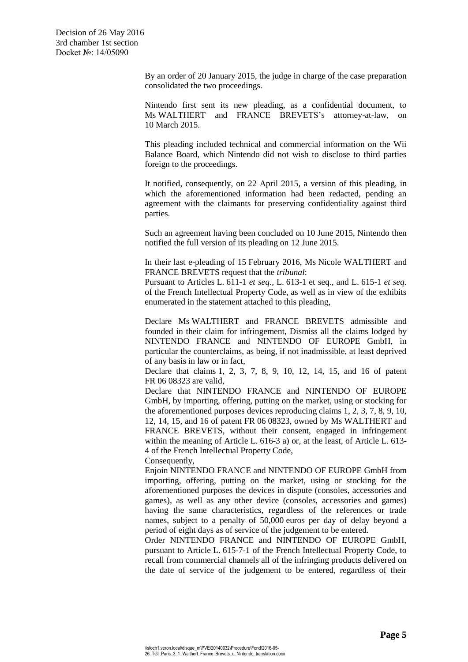> By an order of 20 January 2015, the judge in charge of the case preparation consolidated the two proceedings.

> Nintendo first sent its new pleading, as a confidential document, to Ms WALTHERT and FRANCE BREVETS's attorney-at-law, on 10 March 2015.

> This pleading included technical and commercial information on the Wii Balance Board, which Nintendo did not wish to disclose to third parties foreign to the proceedings.

> It notified, consequently, on 22 April 2015, a version of this pleading, in which the aforementioned information had been redacted, pending an agreement with the claimants for preserving confidentiality against third parties.

> Such an agreement having been concluded on 10 June 2015, Nintendo then notified the full version of its pleading on 12 June 2015.

> In their last e-pleading of 15 February 2016, Ms Nicole WALTHERT and FRANCE BREVETS request that the *tribunal*:

> Pursuant to Articles L. 611-1 *et seq.*, L. 613-1 et seq., and L. 615-1 *et seq.* of the French Intellectual Property Code, as well as in view of the exhibits enumerated in the statement attached to this pleading,

> Declare Ms WALTHERT and FRANCE BREVETS admissible and founded in their claim for infringement, Dismiss all the claims lodged by NINTENDO FRANCE and NINTENDO OF EUROPE GmbH, in particular the counterclaims, as being, if not inadmissible, at least deprived of any basis in law or in fact,

> Declare that claims 1, 2, 3, 7, 8, 9, 10, 12, 14, 15, and 16 of patent FR 06 08323 are valid,

> Declare that NINTENDO FRANCE and NINTENDO OF EUROPE GmbH, by importing, offering, putting on the market, using or stocking for the aforementioned purposes devices reproducing claims 1, 2, 3, 7, 8, 9, 10, 12, 14, 15, and 16 of patent FR 06 08323, owned by Ms WALTHERT and FRANCE BREVETS, without their consent, engaged in infringement within the meaning of Article L. 616-3 a) or, at the least, of Article L. 613- 4 of the French Intellectual Property Code,

Consequently,

Enjoin NINTENDO FRANCE and NINTENDO OF EUROPE GmbH from importing, offering, putting on the market, using or stocking for the aforementioned purposes the devices in dispute (consoles, accessories and games), as well as any other device (consoles, accessories and games) having the same characteristics, regardless of the references or trade names, subject to a penalty of 50,000 euros per day of delay beyond a period of eight days as of service of the judgement to be entered.

Order NINTENDO FRANCE and NINTENDO OF EUROPE GmbH, pursuant to Article L. 615-7-1 of the French Intellectual Property Code, to recall from commercial channels all of the infringing products delivered on the date of service of the judgement to be entered, regardless of their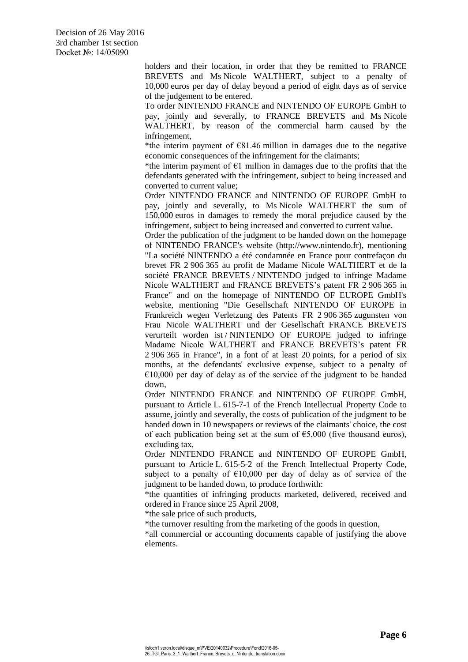holders and their location, in order that they be remitted to FRANCE BREVETS and Ms Nicole WALTHERT, subject to a penalty of 10,000 euros per day of delay beyond a period of eight days as of service of the judgement to be entered.

To order NINTENDO FRANCE and NINTENDO OF EUROPE GmbH to pay, jointly and severally, to FRANCE BREVETS and Ms Nicole WALTHERT, by reason of the commercial harm caused by the infringement,

\*the interim payment of  $\epsilon$ 81.46 million in damages due to the negative economic consequences of the infringement for the claimants;

\*the interim payment of  $E1$  million in damages due to the profits that the defendants generated with the infringement, subject to being increased and converted to current value;

Order NINTENDO FRANCE and NINTENDO OF EUROPE GmbH to pay, jointly and severally, to Ms Nicole WALTHERT the sum of 150,000 euros in damages to remedy the moral prejudice caused by the infringement, subject to being increased and converted to current value.

Order the publication of the judgment to be handed down on the homepage of NINTENDO FRANCE's website (http://www.nintendo.fr), mentioning "La société NINTENDO a été condamnée en France pour contrefaçon du brevet FR 2 906 365 au profit de Madame Nicole WALTHERT et de la société FRANCE BREVETS / NINTENDO judged to infringe Madame Nicole WALTHERT and FRANCE BREVETS's patent FR 2 906 365 in France" and on the homepage of NINTENDO OF EUROPE GmbH's website, mentioning "Die Gesellschaft NINTENDO OF EUROPE in Frankreich wegen Verletzung des Patents FR 2 906 365 zugunsten von Frau Nicole WALTHERT und der Gesellschaft FRANCE BREVETS verurteilt worden ist / NINTENDO OF EUROPE judged to infringe Madame Nicole WALTHERT and FRANCE BREVETS's patent FR 2 906 365 in France", in a font of at least 20 points, for a period of six months, at the defendants' exclusive expense, subject to a penalty of  $€10,000$  per day of delay as of the service of the judgment to be handed down,

Order NINTENDO FRANCE and NINTENDO OF EUROPE GmbH, pursuant to Article L. 615-7-1 of the French Intellectual Property Code to assume, jointly and severally, the costs of publication of the judgment to be handed down in 10 newspapers or reviews of the claimants' choice, the cost of each publication being set at the sum of  $\epsilon$ 5,000 (five thousand euros), excluding tax,

Order NINTENDO FRANCE and NINTENDO OF EUROPE GmbH, pursuant to Article L. 615-5-2 of the French Intellectual Property Code, subject to a penalty of  $\epsilon$ 10,000 per day of delay as of service of the judgment to be handed down, to produce forthwith:

\*the quantities of infringing products marketed, delivered, received and ordered in France since 25 April 2008,

\*the sale price of such products,

\*the turnover resulting from the marketing of the goods in question,

\*all commercial or accounting documents capable of justifying the above elements.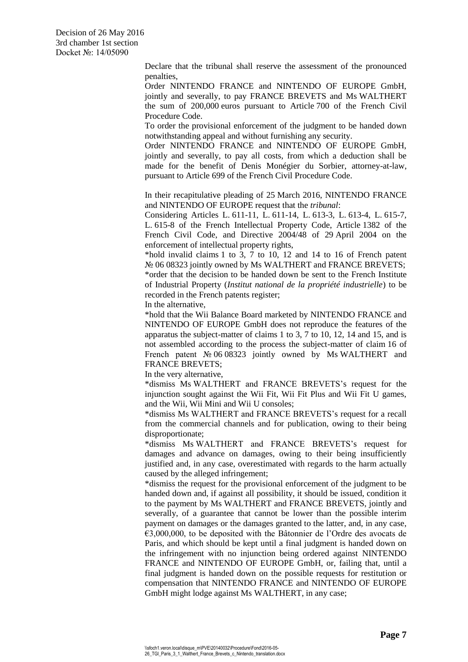> Declare that the tribunal shall reserve the assessment of the pronounced penalties,

> Order NINTENDO FRANCE and NINTENDO OF EUROPE GmbH, jointly and severally, to pay FRANCE BREVETS and Ms WALTHERT the sum of 200,000 euros pursuant to Article 700 of the French Civil Procedure Code.

> To order the provisional enforcement of the judgment to be handed down notwithstanding appeal and without furnishing any security.

> Order NINTENDO FRANCE and NINTENDO OF EUROPE GmbH, jointly and severally, to pay all costs, from which a deduction shall be made for the benefit of Denis Monégier du Sorbier, attorney-at-law, pursuant to Article 699 of the French Civil Procedure Code.

> In their recapitulative pleading of 25 March 2016, NINTENDO FRANCE and NINTENDO OF EUROPE request that the *tribunal*:

> Considering Articles L. 611-11, L. 611-14, L. 613-3, L. 613-4, L. 615-7, L. 615-8 of the French Intellectual Property Code, Article 1382 of the French Civil Code, and Directive 2004/48 of 29 April 2004 on the enforcement of intellectual property rights,

> \*hold invalid claims 1 to 3, 7 to 10, 12 and 14 to 16 of French patent No 06 08323 jointly owned by Ms WALTHERT and FRANCE BREVETS; \*order that the decision to be handed down be sent to the French Institute of Industrial Property (*Institut national de la propriété industrielle*) to be recorded in the French patents register;

In the alternative,

\*hold that the Wii Balance Board marketed by NINTENDO FRANCE and NINTENDO OF EUROPE GmbH does not reproduce the features of the apparatus the subject-matter of claims 1 to 3, 7 to 10, 12, 14 and 15, and is not assembled according to the process the subject-matter of claim 16 of French patent № 06 08323 jointly owned by Ms WALTHERT and FRANCE BREVETS;

In the very alternative,

\*dismiss Ms WALTHERT and FRANCE BREVETS's request for the injunction sought against the Wii Fit, Wii Fit Plus and Wii Fit U games, and the Wii, Wii Mini and Wii U consoles;

\*dismiss Ms WALTHERT and FRANCE BREVETS's request for a recall from the commercial channels and for publication, owing to their being disproportionate;

\*dismiss Ms WALTHERT and FRANCE BREVETS's request for damages and advance on damages, owing to their being insufficiently justified and, in any case, overestimated with regards to the harm actually caused by the alleged infringement;

\*dismiss the request for the provisional enforcement of the judgment to be handed down and, if against all possibility, it should be issued, condition it to the payment by Ms WALTHERT and FRANCE BREVETS, jointly and severally, of a guarantee that cannot be lower than the possible interim payment on damages or the damages granted to the latter, and, in any case, €3,000,000, to be deposited with the Bâtonnier de l'Ordre des avocats de Paris, and which should be kept until a final judgment is handed down on the infringement with no injunction being ordered against NINTENDO FRANCE and NINTENDO OF EUROPE GmbH, or, failing that, until a final judgment is handed down on the possible requests for restitution or compensation that NINTENDO FRANCE and NINTENDO OF EUROPE GmbH might lodge against Ms WALTHERT, in any case;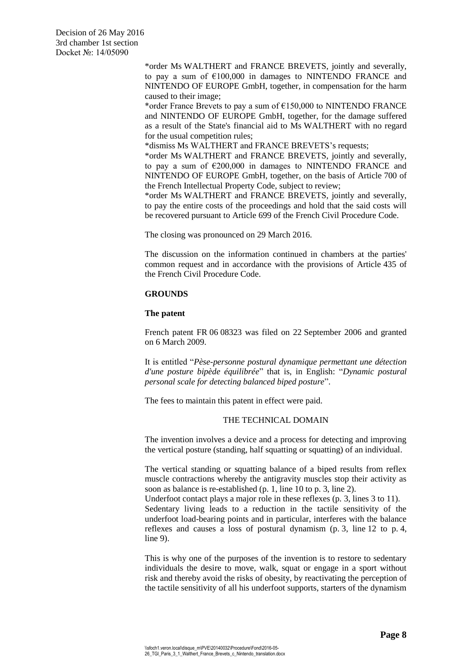> \*order Ms WALTHERT and FRANCE BREVETS, jointly and severally, to pay a sum of  $£100,000$  in damages to NINTENDO FRANCE and NINTENDO OF EUROPE GmbH, together, in compensation for the harm caused to their image;

> \*order France Brevets to pay a sum of  $£150,000$  to NINTENDO FRANCE and NINTENDO OF EUROPE GmbH, together, for the damage suffered as a result of the State's financial aid to Ms WALTHERT with no regard for the usual competition rules;

\*dismiss Ms WALTHERT and FRANCE BREVETS's requests;

\*order Ms WALTHERT and FRANCE BREVETS, jointly and severally, to pay a sum of  $\epsilon$ 200,000 in damages to NINTENDO FRANCE and NINTENDO OF EUROPE GmbH, together, on the basis of Article 700 of the French Intellectual Property Code, subject to review;

\*order Ms WALTHERT and FRANCE BREVETS, jointly and severally, to pay the entire costs of the proceedings and hold that the said costs will be recovered pursuant to Article 699 of the French Civil Procedure Code.

The closing was pronounced on 29 March 2016.

The discussion on the information continued in chambers at the parties' common request and in accordance with the provisions of Article 435 of the French Civil Procedure Code.

# **GROUNDS**

## **The patent**

French patent FR 06 08323 was filed on 22 September 2006 and granted on 6 March 2009.

It is entitled "*Pèse-personne postural dynamique permettant une détection d'une posture bipède équilibrée*" that is, in English: "*Dynamic postural personal scale for detecting balanced biped posture*".

The fees to maintain this patent in effect were paid.

# THE TECHNICAL DOMAIN

The invention involves a device and a process for detecting and improving the vertical posture (standing, half squatting or squatting) of an individual.

The vertical standing or squatting balance of a biped results from reflex muscle contractions whereby the antigravity muscles stop their activity as soon as balance is re-established (p. 1, line 10 to p. 3, line 2).

Underfoot contact plays a major role in these reflexes (p. 3, lines 3 to 11). Sedentary living leads to a reduction in the tactile sensitivity of the underfoot load-bearing points and in particular, interferes with the balance reflexes and causes a loss of postural dynamism (p. 3, line 12 to p. 4, line 9).

This is why one of the purposes of the invention is to restore to sedentary individuals the desire to move, walk, squat or engage in a sport without risk and thereby avoid the risks of obesity, by reactivating the perception of the tactile sensitivity of all his underfoot supports, starters of the dynamism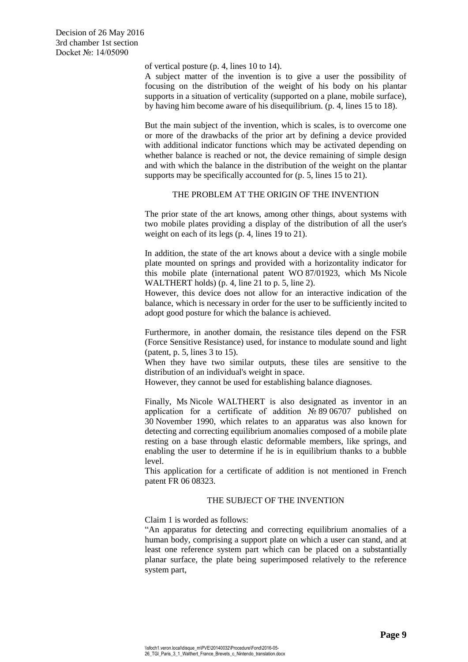of vertical posture (p. 4, lines 10 to 14).

A subject matter of the invention is to give a user the possibility of focusing on the distribution of the weight of his body on his plantar supports in a situation of verticality (supported on a plane, mobile surface), by having him become aware of his disequilibrium. (p. 4, lines 15 to 18).

But the main subject of the invention, which is scales, is to overcome one or more of the drawbacks of the prior art by defining a device provided with additional indicator functions which may be activated depending on whether balance is reached or not, the device remaining of simple design and with which the balance in the distribution of the weight on the plantar supports may be specifically accounted for (p. 5, lines 15 to 21).

# THE PROBLEM AT THE ORIGIN OF THE INVENTION

The prior state of the art knows, among other things, about systems with two mobile plates providing a display of the distribution of all the user's weight on each of its legs (p. 4, lines 19 to 21).

In addition, the state of the art knows about a device with a single mobile plate mounted on springs and provided with a horizontality indicator for this mobile plate (international patent WO 87/01923, which Ms Nicole WALTHERT holds) (p. 4, line 21 to p. 5, line 2).

However, this device does not allow for an interactive indication of the balance, which is necessary in order for the user to be sufficiently incited to adopt good posture for which the balance is achieved.

Furthermore, in another domain, the resistance tiles depend on the FSR (Force Sensitive Resistance) used, for instance to modulate sound and light (patent, p. 5, lines 3 to 15).

When they have two similar outputs, these tiles are sensitive to the distribution of an individual's weight in space.

However, they cannot be used for establishing balance diagnoses.

Finally, Ms Nicole WALTHERT is also designated as inventor in an application for a certificate of addition  $N_2$  89 06707 published on 30 November 1990, which relates to an apparatus was also known for detecting and correcting equilibrium anomalies composed of a mobile plate resting on a base through elastic deformable members, like springs, and enabling the user to determine if he is in equilibrium thanks to a bubble level.

This application for a certificate of addition is not mentioned in French patent FR 06 08323.

# THE SUBJECT OF THE INVENTION

Claim 1 is worded as follows:

"An apparatus for detecting and correcting equilibrium anomalies of a human body, comprising a support plate on which a user can stand, and at least one reference system part which can be placed on a substantially planar surface, the plate being superimposed relatively to the reference system part,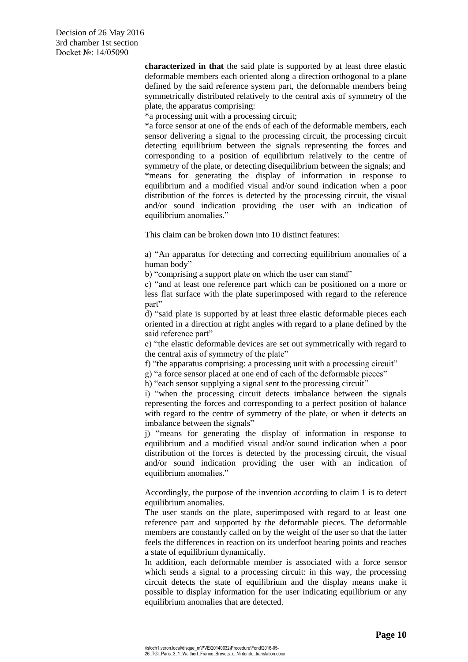**characterized in that** the said plate is supported by at least three elastic deformable members each oriented along a direction orthogonal to a plane defined by the said reference system part, the deformable members being symmetrically distributed relatively to the central axis of symmetry of the plate, the apparatus comprising:

\*a processing unit with a processing circuit;

\*a force sensor at one of the ends of each of the deformable members, each sensor delivering a signal to the processing circuit, the processing circuit detecting equilibrium between the signals representing the forces and corresponding to a position of equilibrium relatively to the centre of symmetry of the plate, or detecting disequilibrium between the signals; and \*means for generating the display of information in response to equilibrium and a modified visual and/or sound indication when a poor distribution of the forces is detected by the processing circuit, the visual and/or sound indication providing the user with an indication of equilibrium anomalies."

This claim can be broken down into 10 distinct features:

a) "An apparatus for detecting and correcting equilibrium anomalies of a human body"

b) "comprising a support plate on which the user can stand"

c) "and at least one reference part which can be positioned on a more or less flat surface with the plate superimposed with regard to the reference part"

d) "said plate is supported by at least three elastic deformable pieces each oriented in a direction at right angles with regard to a plane defined by the said reference part"

e) "the elastic deformable devices are set out symmetrically with regard to the central axis of symmetry of the plate"

f) "the apparatus comprising: a processing unit with a processing circuit"

g) "a force sensor placed at one end of each of the deformable pieces"

h) "each sensor supplying a signal sent to the processing circuit"

i) "when the processing circuit detects imbalance between the signals representing the forces and corresponding to a perfect position of balance with regard to the centre of symmetry of the plate, or when it detects an imbalance between the signals"

j) "means for generating the display of information in response to equilibrium and a modified visual and/or sound indication when a poor distribution of the forces is detected by the processing circuit, the visual and/or sound indication providing the user with an indication of equilibrium anomalies."

Accordingly, the purpose of the invention according to claim 1 is to detect equilibrium anomalies.

The user stands on the plate, superimposed with regard to at least one reference part and supported by the deformable pieces. The deformable members are constantly called on by the weight of the user so that the latter feels the differences in reaction on its underfoot bearing points and reaches a state of equilibrium dynamically.

In addition, each deformable member is associated with a force sensor which sends a signal to a processing circuit: in this way, the processing circuit detects the state of equilibrium and the display means make it possible to display information for the user indicating equilibrium or any equilibrium anomalies that are detected.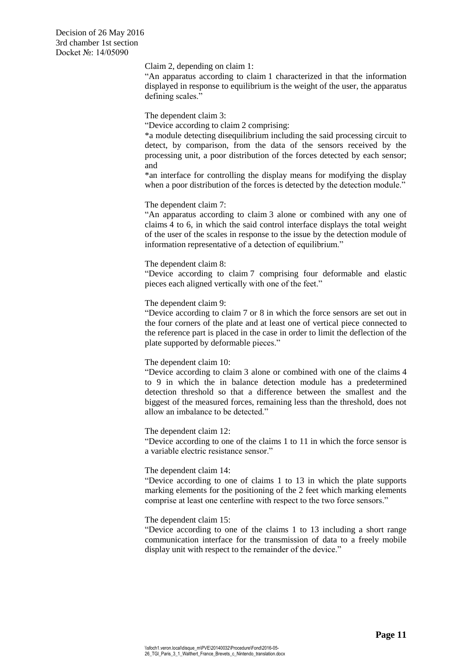Claim 2, depending on claim 1:

"An apparatus according to claim 1 characterized in that the information displayed in response to equilibrium is the weight of the user, the apparatus defining scales."

The dependent claim 3:

"Device according to claim 2 comprising:

\*a module detecting disequilibrium including the said processing circuit to detect, by comparison, from the data of the sensors received by the processing unit, a poor distribution of the forces detected by each sensor; and

\*an interface for controlling the display means for modifying the display when a poor distribution of the forces is detected by the detection module."

## The dependent claim 7:

"An apparatus according to claim 3 alone or combined with any one of claims 4 to 6, in which the said control interface displays the total weight of the user of the scales in response to the issue by the detection module of information representative of a detection of equilibrium."

#### The dependent claim 8:

"Device according to claim 7 comprising four deformable and elastic pieces each aligned vertically with one of the feet."

The dependent claim 9:

"Device according to claim 7 or 8 in which the force sensors are set out in the four corners of the plate and at least one of vertical piece connected to the reference part is placed in the case in order to limit the deflection of the plate supported by deformable pieces."

## The dependent claim 10:

"Device according to claim 3 alone or combined with one of the claims 4 to 9 in which the in balance detection module has a predetermined detection threshold so that a difference between the smallest and the biggest of the measured forces, remaining less than the threshold, does not allow an imbalance to be detected."

#### The dependent claim 12:

"Device according to one of the claims 1 to 11 in which the force sensor is a variable electric resistance sensor."

## The dependent claim 14:

"Device according to one of claims 1 to 13 in which the plate supports marking elements for the positioning of the 2 feet which marking elements comprise at least one centerline with respect to the two force sensors."

## The dependent claim 15:

"Device according to one of the claims 1 to 13 including a short range communication interface for the transmission of data to a freely mobile display unit with respect to the remainder of the device."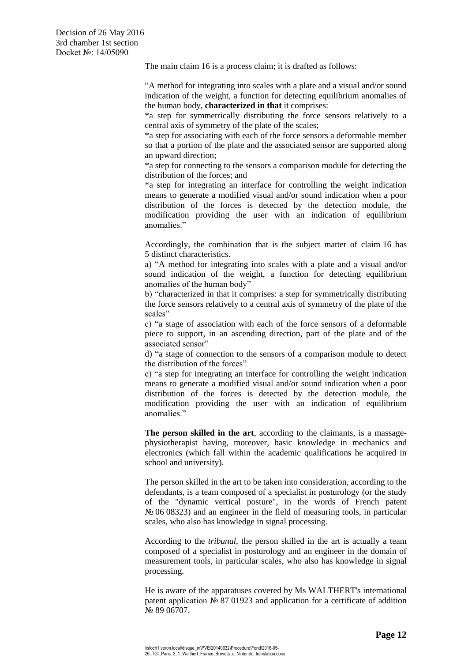The main claim 16 is a process claim; it is drafted as follows:

"A method for integrating into scales with a plate and a visual and/or sound indication of the weight, a function for detecting equilibrium anomalies of the human body, **characterized in that** it comprises:

\*a step for symmetrically distributing the force sensors relatively to a central axis of symmetry of the plate of the scales;

\*a step for associating with each of the force sensors a deformable member so that a portion of the plate and the associated sensor are supported along an upward direction;

\*a step for connecting to the sensors a comparison module for detecting the distribution of the forces; and

\*a step for integrating an interface for controlling the weight indication means to generate a modified visual and/or sound indication when a poor distribution of the forces is detected by the detection module, the modification providing the user with an indication of equilibrium anomalies."

Accordingly, the combination that is the subject matter of claim 16 has 5 distinct characteristics.

a) "A method for integrating into scales with a plate and a visual and/or sound indication of the weight, a function for detecting equilibrium anomalies of the human body"

b) "characterized in that it comprises: a step for symmetrically distributing the force sensors relatively to a central axis of symmetry of the plate of the scales"

c) "a stage of association with each of the force sensors of a deformable piece to support, in an ascending direction, part of the plate and of the associated sensor"

d) "a stage of connection to the sensors of a comparison module to detect the distribution of the forces"

e) "a step for integrating an interface for controlling the weight indication means to generate a modified visual and/or sound indication when a poor distribution of the forces is detected by the detection module, the modification providing the user with an indication of equilibrium anomalies."

**The person skilled in the art**, according to the claimants, is a massagephysiotherapist having, moreover, basic knowledge in mechanics and electronics (which fall within the academic qualifications he acquired in school and university).

The person skilled in the art to be taken into consideration, according to the defendants, is a team composed of a specialist in posturology (or the study of the "dynamic vertical posture", in the words of French patent № 06 08323) and an engineer in the field of measuring tools, in particular scales, who also has knowledge in signal processing.

According to the *tribunal*, the person skilled in the art is actually a team composed of a specialist in posturology and an engineer in the domain of measurement tools, in particular scales, who also has knowledge in signal processing.

He is aware of the apparatuses covered by Ms WALTHERT's international patent application  $\mathbb{N}_{2}$  87 01923 and application for a certificate of addition № 89 06707.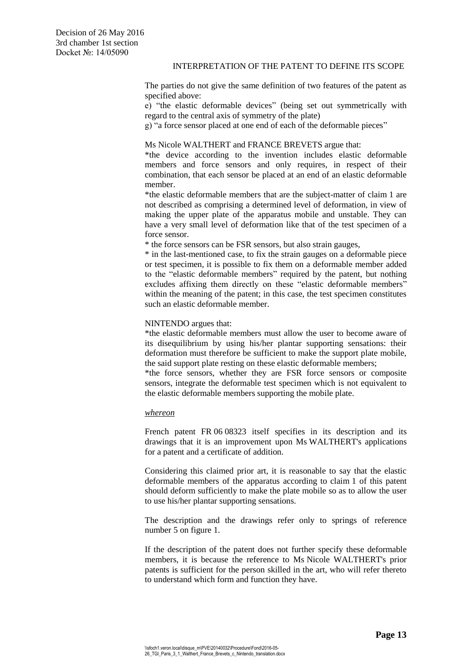# INTERPRETATION OF THE PATENT TO DEFINE ITS SCOPE

The parties do not give the same definition of two features of the patent as specified above:

e) "the elastic deformable devices" (being set out symmetrically with regard to the central axis of symmetry of the plate)

g) "a force sensor placed at one end of each of the deformable pieces"

# Ms Nicole WALTHERT and FRANCE BREVETS argue that:

\*the device according to the invention includes elastic deformable members and force sensors and only requires, in respect of their combination, that each sensor be placed at an end of an elastic deformable member.

\*the elastic deformable members that are the subject-matter of claim 1 are not described as comprising a determined level of deformation, in view of making the upper plate of the apparatus mobile and unstable. They can have a very small level of deformation like that of the test specimen of a force sensor.

\* the force sensors can be FSR sensors, but also strain gauges,

\* in the last-mentioned case, to fix the strain gauges on a deformable piece or test specimen, it is possible to fix them on a deformable member added to the "elastic deformable members" required by the patent, but nothing excludes affixing them directly on these "elastic deformable members" within the meaning of the patent; in this case, the test specimen constitutes such an elastic deformable member.

# NINTENDO argues that:

\*the elastic deformable members must allow the user to become aware of its disequilibrium by using his/her plantar supporting sensations: their deformation must therefore be sufficient to make the support plate mobile, the said support plate resting on these elastic deformable members;

\*the force sensors, whether they are FSR force sensors or composite sensors, integrate the deformable test specimen which is not equivalent to the elastic deformable members supporting the mobile plate.

# *whereon*

French patent FR 06 08323 itself specifies in its description and its drawings that it is an improvement upon Ms WALTHERT's applications for a patent and a certificate of addition.

Considering this claimed prior art, it is reasonable to say that the elastic deformable members of the apparatus according to claim 1 of this patent should deform sufficiently to make the plate mobile so as to allow the user to use his/her plantar supporting sensations.

The description and the drawings refer only to springs of reference number 5 on figure 1.

If the description of the patent does not further specify these deformable members, it is because the reference to Ms Nicole WALTHERT's prior patents is sufficient for the person skilled in the art, who will refer thereto to understand which form and function they have.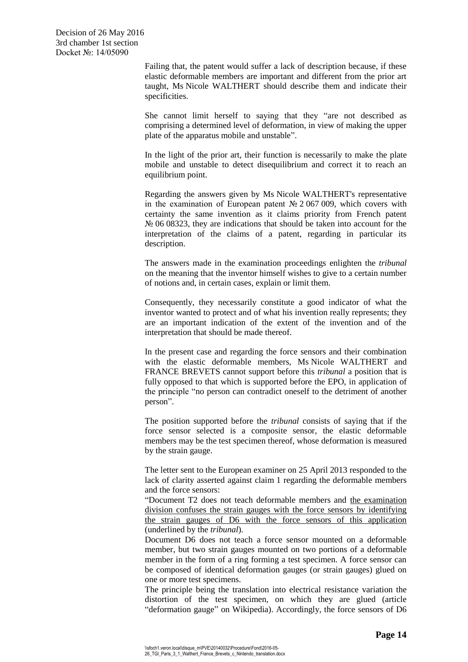Failing that, the patent would suffer a lack of description because, if these elastic deformable members are important and different from the prior art taught, Ms Nicole WALTHERT should describe them and indicate their specificities.

She cannot limit herself to saying that they "are not described as comprising a determined level of deformation, in view of making the upper plate of the apparatus mobile and unstable".

In the light of the prior art, their function is necessarily to make the plate mobile and unstable to detect disequilibrium and correct it to reach an equilibrium point.

Regarding the answers given by Ms Nicole WALTHERT's representative in the examination of European patent № 2 067 009, which covers with certainty the same invention as it claims priority from French patent № 06 08323, they are indications that should be taken into account for the interpretation of the claims of a patent, regarding in particular its description.

The answers made in the examination proceedings enlighten the *tribunal* on the meaning that the inventor himself wishes to give to a certain number of notions and, in certain cases, explain or limit them.

Consequently, they necessarily constitute a good indicator of what the inventor wanted to protect and of what his invention really represents; they are an important indication of the extent of the invention and of the interpretation that should be made thereof.

In the present case and regarding the force sensors and their combination with the elastic deformable members, Ms Nicole WALTHERT and FRANCE BREVETS cannot support before this *tribunal* a position that is fully opposed to that which is supported before the EPO, in application of the principle "no person can contradict oneself to the detriment of another person".

The position supported before the *tribunal* consists of saying that if the force sensor selected is a composite sensor, the elastic deformable members may be the test specimen thereof, whose deformation is measured by the strain gauge.

The letter sent to the European examiner on 25 April 2013 responded to the lack of clarity asserted against claim 1 regarding the deformable members and the force sensors:

"Document T2 does not teach deformable members and the examination division confuses the strain gauges with the force sensors by identifying the strain gauges of D6 with the force sensors of this application (underlined by the *tribunal*).

Document D6 does not teach a force sensor mounted on a deformable member, but two strain gauges mounted on two portions of a deformable member in the form of a ring forming a test specimen. A force sensor can be composed of identical deformation gauges (or strain gauges) glued on one or more test specimens.

The principle being the translation into electrical resistance variation the distortion of the test specimen, on which they are glued (article "deformation gauge" on Wikipedia). Accordingly, the force sensors of D6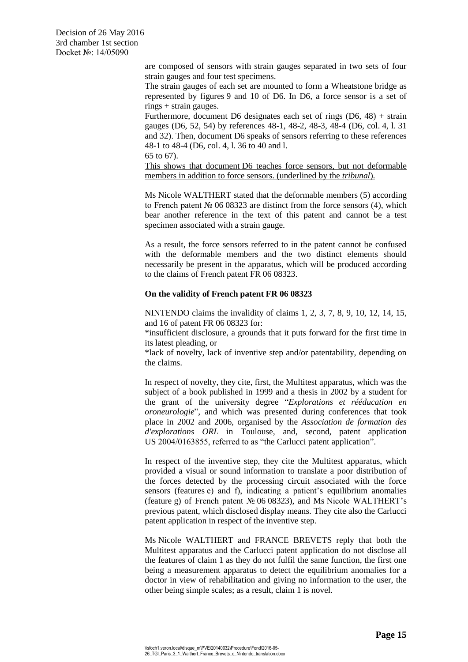> are composed of sensors with strain gauges separated in two sets of four strain gauges and four test specimens.

> The strain gauges of each set are mounted to form a Wheatstone bridge as represented by figures 9 and 10 of D6. In D6, a force sensor is a set of rings + strain gauges.

> Furthermore, document D6 designates each set of rings (D6, 48) + strain gauges (D6, 52, 54) by references 48-1, 48-2, 48-3, 48-4 (D6, col. 4, l. 31 and 32). Then, document D6 speaks of sensors referring to these references 48-1 to 48-4 (D6, col. 4, l. 36 to 40 and l.

65 to 67).

This shows that document D6 teaches force sensors, but not deformable members in addition to force sensors. (underlined by the *tribunal*).

Ms Nicole WALTHERT stated that the deformable members (5) according to French patent  $\mathcal{N}_2$  06 08323 are distinct from the force sensors (4), which bear another reference in the text of this patent and cannot be a test specimen associated with a strain gauge.

As a result, the force sensors referred to in the patent cannot be confused with the deformable members and the two distinct elements should necessarily be present in the apparatus, which will be produced according to the claims of French patent FR 06 08323.

# **On the validity of French patent FR 06 08323**

NINTENDO claims the invalidity of claims 1, 2, 3, 7, 8, 9, 10, 12, 14, 15, and 16 of patent FR 06 08323 for:

\*insufficient disclosure, a grounds that it puts forward for the first time in its latest pleading, or

\*lack of novelty, lack of inventive step and/or patentability, depending on the claims.

In respect of novelty, they cite, first, the Multitest apparatus, which was the subject of a book published in 1999 and a thesis in 2002 by a student for the grant of the university degree "*Explorations et rééducation en oroneurologie*", and which was presented during conferences that took place in 2002 and 2006, organised by the *Association de formation des d'explorations ORL* in Toulouse, and, second, patent application US 2004/0163855, referred to as "the Carlucci patent application".

In respect of the inventive step, they cite the Multitest apparatus, which provided a visual or sound information to translate a poor distribution of the forces detected by the processing circuit associated with the force sensors (features e) and f), indicating a patient's equilibrium anomalies (feature g) of French patent № 06 08323), and Ms Nicole WALTHERT's previous patent, which disclosed display means. They cite also the Carlucci patent application in respect of the inventive step.

Ms Nicole WALTHERT and FRANCE BREVETS reply that both the Multitest apparatus and the Carlucci patent application do not disclose all the features of claim 1 as they do not fulfil the same function, the first one being a measurement apparatus to detect the equilibrium anomalies for a doctor in view of rehabilitation and giving no information to the user, the other being simple scales; as a result, claim 1 is novel.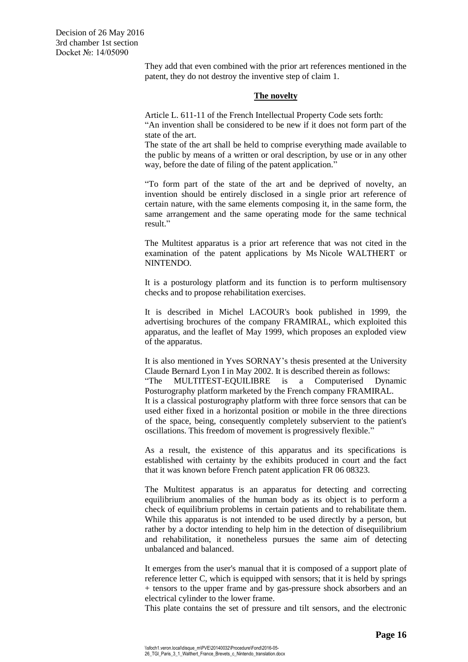They add that even combined with the prior art references mentioned in the patent, they do not destroy the inventive step of claim 1.

## **The novelty**

Article L. 611-11 of the French Intellectual Property Code sets forth: "An invention shall be considered to be new if it does not form part of the state of the art.

The state of the art shall be held to comprise everything made available to the public by means of a written or oral description, by use or in any other way, before the date of filing of the patent application."

"To form part of the state of the art and be deprived of novelty, an invention should be entirely disclosed in a single prior art reference of certain nature, with the same elements composing it, in the same form, the same arrangement and the same operating mode for the same technical result."

The Multitest apparatus is a prior art reference that was not cited in the examination of the patent applications by Ms Nicole WALTHERT or NINTENDO.

It is a posturology platform and its function is to perform multisensory checks and to propose rehabilitation exercises.

It is described in Michel LACOUR's book published in 1999, the advertising brochures of the company FRAMIRAL, which exploited this apparatus, and the leaflet of May 1999, which proposes an exploded view of the apparatus.

It is also mentioned in Yves SORNAY's thesis presented at the University Claude Bernard Lyon I in May 2002. It is described therein as follows: "The MULTITEST-EQUILIBRE is a Computerised Dynamic Posturography platform marketed by the French company FRAMIRAL. It is a classical posturography platform with three force sensors that can be used either fixed in a horizontal position or mobile in the three directions of the space, being, consequently completely subservient to the patient's oscillations. This freedom of movement is progressively flexible."

As a result, the existence of this apparatus and its specifications is established with certainty by the exhibits produced in court and the fact that it was known before French patent application FR 06 08323.

The Multitest apparatus is an apparatus for detecting and correcting equilibrium anomalies of the human body as its object is to perform a check of equilibrium problems in certain patients and to rehabilitate them. While this apparatus is not intended to be used directly by a person, but rather by a doctor intending to help him in the detection of disequilibrium and rehabilitation, it nonetheless pursues the same aim of detecting unbalanced and balanced.

It emerges from the user's manual that it is composed of a support plate of reference letter C, which is equipped with sensors; that it is held by springs + tensors to the upper frame and by gas-pressure shock absorbers and an electrical cylinder to the lower frame.

This plate contains the set of pressure and tilt sensors, and the electronic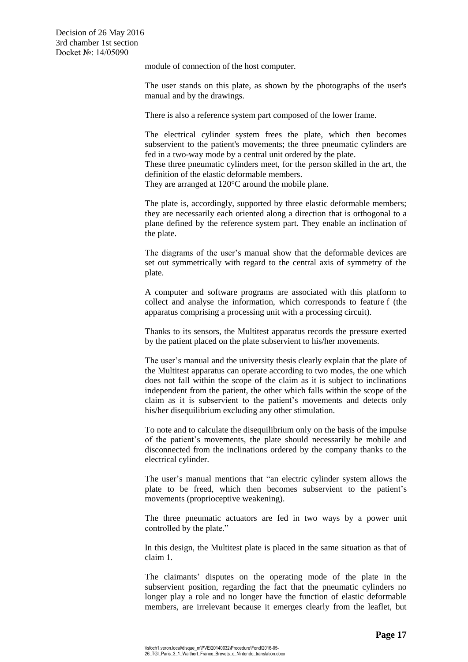module of connection of the host computer.

The user stands on this plate, as shown by the photographs of the user's manual and by the drawings.

There is also a reference system part composed of the lower frame.

The electrical cylinder system frees the plate, which then becomes subservient to the patient's movements; the three pneumatic cylinders are fed in a two-way mode by a central unit ordered by the plate.

These three pneumatic cylinders meet, for the person skilled in the art, the definition of the elastic deformable members.

They are arranged at 120°C around the mobile plane.

The plate is, accordingly, supported by three elastic deformable members; they are necessarily each oriented along a direction that is orthogonal to a plane defined by the reference system part. They enable an inclination of the plate.

The diagrams of the user's manual show that the deformable devices are set out symmetrically with regard to the central axis of symmetry of the plate.

A computer and software programs are associated with this platform to collect and analyse the information, which corresponds to feature f (the apparatus comprising a processing unit with a processing circuit).

Thanks to its sensors, the Multitest apparatus records the pressure exerted by the patient placed on the plate subservient to his/her movements.

The user's manual and the university thesis clearly explain that the plate of the Multitest apparatus can operate according to two modes, the one which does not fall within the scope of the claim as it is subject to inclinations independent from the patient, the other which falls within the scope of the claim as it is subservient to the patient's movements and detects only his/her disequilibrium excluding any other stimulation.

To note and to calculate the disequilibrium only on the basis of the impulse of the patient's movements, the plate should necessarily be mobile and disconnected from the inclinations ordered by the company thanks to the electrical cylinder.

The user's manual mentions that "an electric cylinder system allows the plate to be freed, which then becomes subservient to the patient's movements (proprioceptive weakening).

The three pneumatic actuators are fed in two ways by a power unit controlled by the plate."

In this design, the Multitest plate is placed in the same situation as that of claim 1.

The claimants' disputes on the operating mode of the plate in the subservient position, regarding the fact that the pneumatic cylinders no longer play a role and no longer have the function of elastic deformable members, are irrelevant because it emerges clearly from the leaflet, but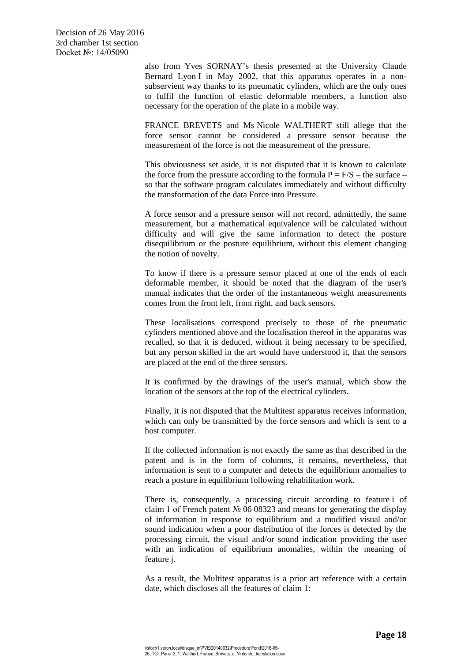also from Yves SORNAY's thesis presented at the University Claude Bernard Lyon I in May 2002, that this apparatus operates in a nonsubservient way thanks to its pneumatic cylinders, which are the only ones to fulfil the function of elastic deformable members, a function also necessary for the operation of the plate in a mobile way.

FRANCE BREVETS and Ms Nicole WALTHERT still allege that the force sensor cannot be considered a pressure sensor because the measurement of the force is not the measurement of the pressure.

This obviousness set aside, it is not disputed that it is known to calculate the force from the pressure according to the formula  $P = F/S -$  the surface – so that the software program calculates immediately and without difficulty the transformation of the data Force into Pressure.

A force sensor and a pressure sensor will not record, admittedly, the same measurement, but a mathematical equivalence will be calculated without difficulty and will give the same information to detect the posture disequilibrium or the posture equilibrium, without this element changing the notion of novelty.

To know if there is a pressure sensor placed at one of the ends of each deformable member, it should be noted that the diagram of the user's manual indicates that the order of the instantaneous weight measurements comes from the front left, front right, and back sensors.

These localisations correspond precisely to those of the pneumatic cylinders mentioned above and the localisation thereof in the apparatus was recalled, so that it is deduced, without it being necessary to be specified, but any person skilled in the art would have understood it, that the sensors are placed at the end of the three sensors.

It is confirmed by the drawings of the user's manual, which show the location of the sensors at the top of the electrical cylinders.

Finally, it is not disputed that the Multitest apparatus receives information, which can only be transmitted by the force sensors and which is sent to a host computer.

If the collected information is not exactly the same as that described in the patent and is in the form of columns, it remains, nevertheless, that information is sent to a computer and detects the equilibrium anomalies to reach a posture in equilibrium following rehabilitation work.

There is, consequently, a processing circuit according to feature i of claim 1 of French patent № 06 08323 and means for generating the display of information in response to equilibrium and a modified visual and/or sound indication when a poor distribution of the forces is detected by the processing circuit, the visual and/or sound indication providing the user with an indication of equilibrium anomalies, within the meaning of feature j.

As a result, the Multitest apparatus is a prior art reference with a certain date, which discloses all the features of claim 1: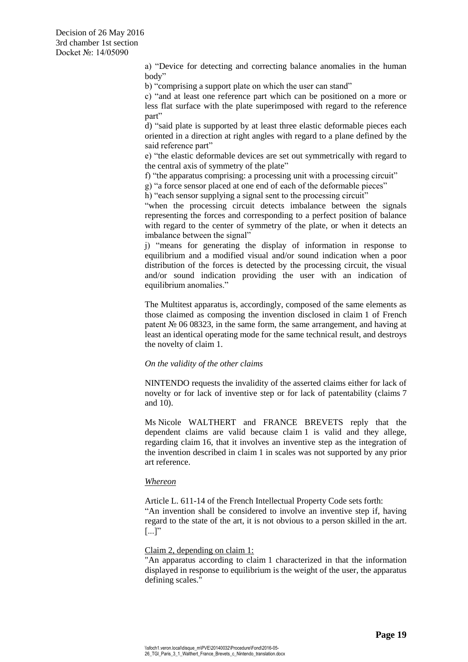a) "Device for detecting and correcting balance anomalies in the human body"

b) "comprising a support plate on which the user can stand"

c) "and at least one reference part which can be positioned on a more or less flat surface with the plate superimposed with regard to the reference part"

d) "said plate is supported by at least three elastic deformable pieces each oriented in a direction at right angles with regard to a plane defined by the said reference part"

e) "the elastic deformable devices are set out symmetrically with regard to the central axis of symmetry of the plate"

f) "the apparatus comprising: a processing unit with a processing circuit"

g) "a force sensor placed at one end of each of the deformable pieces"

h) "each sensor supplying a signal sent to the processing circuit"

"when the processing circuit detects imbalance between the signals representing the forces and corresponding to a perfect position of balance with regard to the center of symmetry of the plate, or when it detects an imbalance between the signal"

j) "means for generating the display of information in response to equilibrium and a modified visual and/or sound indication when a poor distribution of the forces is detected by the processing circuit, the visual and/or sound indication providing the user with an indication of equilibrium anomalies."

The Multitest apparatus is, accordingly, composed of the same elements as those claimed as composing the invention disclosed in claim 1 of French patent  $\mathcal{N}_2$  06 08323, in the same form, the same arrangement, and having at least an identical operating mode for the same technical result, and destroys the novelty of claim 1.

## *On the validity of the other claims*

NINTENDO requests the invalidity of the asserted claims either for lack of novelty or for lack of inventive step or for lack of patentability (claims 7 and 10).

Ms Nicole WALTHERT and FRANCE BREVETS reply that the dependent claims are valid because claim 1 is valid and they allege, regarding claim 16, that it involves an inventive step as the integration of the invention described in claim 1 in scales was not supported by any prior art reference.

# *Whereon*

Article L. 611-14 of the French Intellectual Property Code sets forth: "An invention shall be considered to involve an inventive step if, having regard to the state of the art, it is not obvious to a person skilled in the art.  $\left[\ldots\right]$ "

#### Claim 2, depending on claim 1:

"An apparatus according to claim 1 characterized in that the information displayed in response to equilibrium is the weight of the user, the apparatus defining scales."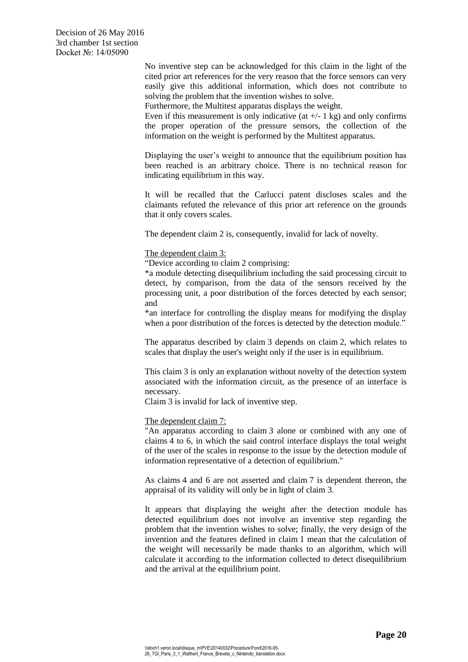No inventive step can be acknowledged for this claim in the light of the cited prior art references for the very reason that the force sensors can very easily give this additional information, which does not contribute to solving the problem that the invention wishes to solve.

Furthermore, the Multitest apparatus displays the weight.

Even if this measurement is only indicative (at  $+/-1$  kg) and only confirms the proper operation of the pressure sensors, the collection of the information on the weight is performed by the Multitest apparatus.

Displaying the user's weight to announce that the equilibrium position has been reached is an arbitrary choice. There is no technical reason for indicating equilibrium in this way.

It will be recalled that the Carlucci patent discloses scales and the claimants refuted the relevance of this prior art reference on the grounds that it only covers scales.

The dependent claim 2 is, consequently, invalid for lack of novelty.

## The dependent claim 3:

"Device according to claim 2 comprising:

\*a module detecting disequilibrium including the said processing circuit to detect, by comparison, from the data of the sensors received by the processing unit, a poor distribution of the forces detected by each sensor; and

\*an interface for controlling the display means for modifying the display when a poor distribution of the forces is detected by the detection module."

The apparatus described by claim 3 depends on claim 2, which relates to scales that display the user's weight only if the user is in equilibrium.

This claim 3 is only an explanation without novelty of the detection system associated with the information circuit, as the presence of an interface is necessary.

Claim 3 is invalid for lack of inventive step.

## The dependent claim 7:

"An apparatus according to claim 3 alone or combined with any one of claims 4 to 6, in which the said control interface displays the total weight of the user of the scales in response to the issue by the detection module of information representative of a detection of equilibrium."

As claims 4 and 6 are not asserted and claim 7 is dependent thereon, the appraisal of its validity will only be in light of claim 3.

It appears that displaying the weight after the detection module has detected equilibrium does not involve an inventive step regarding the problem that the invention wishes to solve; finally, the very design of the invention and the features defined in claim 1 mean that the calculation of the weight will necessarily be made thanks to an algorithm, which will calculate it according to the information collected to detect disequilibrium and the arrival at the equilibrium point.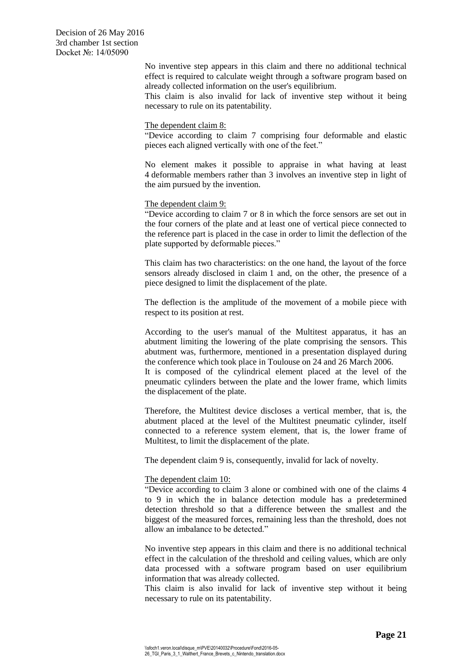> No inventive step appears in this claim and there no additional technical effect is required to calculate weight through a software program based on already collected information on the user's equilibrium.

> This claim is also invalid for lack of inventive step without it being necessary to rule on its patentability.

#### The dependent claim 8:

"Device according to claim 7 comprising four deformable and elastic pieces each aligned vertically with one of the feet."

No element makes it possible to appraise in what having at least 4 deformable members rather than 3 involves an inventive step in light of the aim pursued by the invention.

# The dependent claim 9:

"Device according to claim 7 or 8 in which the force sensors are set out in the four corners of the plate and at least one of vertical piece connected to the reference part is placed in the case in order to limit the deflection of the plate supported by deformable pieces."

This claim has two characteristics: on the one hand, the layout of the force sensors already disclosed in claim 1 and, on the other, the presence of a piece designed to limit the displacement of the plate.

The deflection is the amplitude of the movement of a mobile piece with respect to its position at rest.

According to the user's manual of the Multitest apparatus, it has an abutment limiting the lowering of the plate comprising the sensors. This abutment was, furthermore, mentioned in a presentation displayed during the conference which took place in Toulouse on 24 and 26 March 2006.

It is composed of the cylindrical element placed at the level of the pneumatic cylinders between the plate and the lower frame, which limits the displacement of the plate.

Therefore, the Multitest device discloses a vertical member, that is, the abutment placed at the level of the Multitest pneumatic cylinder, itself connected to a reference system element, that is, the lower frame of Multitest, to limit the displacement of the plate.

The dependent claim 9 is, consequently, invalid for lack of novelty.

## The dependent claim 10:

"Device according to claim 3 alone or combined with one of the claims 4 to 9 in which the in balance detection module has a predetermined detection threshold so that a difference between the smallest and the biggest of the measured forces, remaining less than the threshold, does not allow an imbalance to be detected."

No inventive step appears in this claim and there is no additional technical effect in the calculation of the threshold and ceiling values, which are only data processed with a software program based on user equilibrium information that was already collected.

This claim is also invalid for lack of inventive step without it being necessary to rule on its patentability.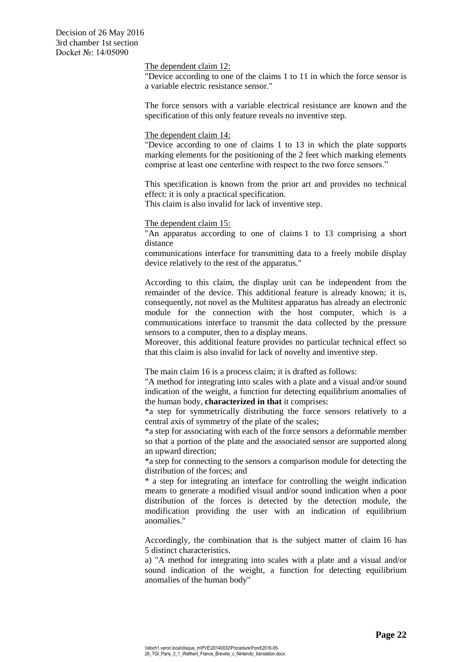The dependent claim 12:

"Device according to one of the claims 1 to 11 in which the force sensor is a variable electric resistance sensor."

The force sensors with a variable electrical resistance are known and the specification of this only feature reveals no inventive step.

#### The dependent claim 14:

"Device according to one of claims 1 to 13 in which the plate supports marking elements for the positioning of the 2 feet which marking elements comprise at least one centerline with respect to the two force sensors."

This specification is known from the prior art and provides no technical effect: it is only a practical specification.

This claim is also invalid for lack of inventive step.

#### The dependent claim 15:

"An apparatus according to one of claims 1 to 13 comprising a short distance

communications interface for transmitting data to a freely mobile display device relatively to the rest of the apparatus."

According to this claim, the display unit can be independent from the remainder of the device. This additional feature is already known; it is, consequently, not novel as the Multitest apparatus has already an electronic module for the connection with the host computer, which is a communications interface to transmit the data collected by the pressure sensors to a computer, then to a display means.

Moreover, this additional feature provides no particular technical effect so that this claim is also invalid for lack of novelty and inventive step.

The main claim 16 is a process claim; it is drafted as follows:

"A method for integrating into scales with a plate and a visual and/or sound indication of the weight, a function for detecting equilibrium anomalies of the human body, **characterized in that** it comprises:

\*a step for symmetrically distributing the force sensors relatively to a central axis of symmetry of the plate of the scales;

\*a step for associating with each of the force sensors a deformable member so that a portion of the plate and the associated sensor are supported along an upward direction;

\*a step for connecting to the sensors a comparison module for detecting the distribution of the forces; and

\* a step for integrating an interface for controlling the weight indication means to generate a modified visual and/or sound indication when a poor distribution of the forces is detected by the detection module, the modification providing the user with an indication of equilibrium anomalies."

Accordingly, the combination that is the subject matter of claim 16 has 5 distinct characteristics.

a) "A method for integrating into scales with a plate and a visual and/or sound indication of the weight, a function for detecting equilibrium anomalies of the human body"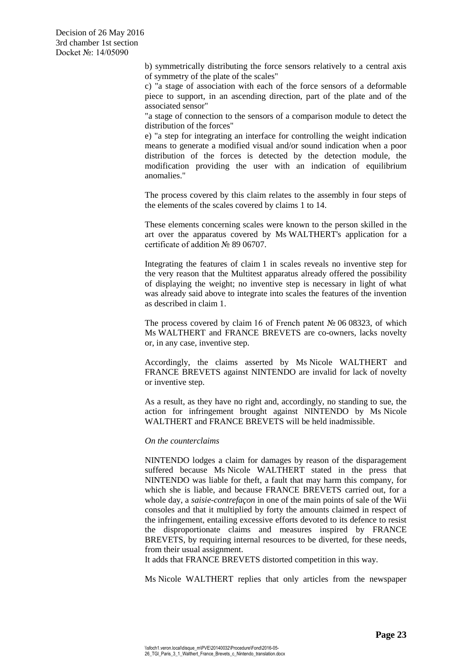b) symmetrically distributing the force sensors relatively to a central axis of symmetry of the plate of the scales"

c) "a stage of association with each of the force sensors of a deformable piece to support, in an ascending direction, part of the plate and of the associated sensor"

"a stage of connection to the sensors of a comparison module to detect the distribution of the forces"

e) "a step for integrating an interface for controlling the weight indication means to generate a modified visual and/or sound indication when a poor distribution of the forces is detected by the detection module, the modification providing the user with an indication of equilibrium anomalies."

The process covered by this claim relates to the assembly in four steps of the elements of the scales covered by claims 1 to 14.

These elements concerning scales were known to the person skilled in the art over the apparatus covered by Ms WALTHERT's application for a certificate of addition № 89 06707.

Integrating the features of claim 1 in scales reveals no inventive step for the very reason that the Multitest apparatus already offered the possibility of displaying the weight; no inventive step is necessary in light of what was already said above to integrate into scales the features of the invention as described in claim 1.

The process covered by claim 16 of French patent  $\mathcal{N}$  06 08323, of which Ms WALTHERT and FRANCE BREVETS are co-owners, lacks novelty or, in any case, inventive step.

Accordingly, the claims asserted by Ms Nicole WALTHERT and FRANCE BREVETS against NINTENDO are invalid for lack of novelty or inventive step.

As a result, as they have no right and, accordingly, no standing to sue, the action for infringement brought against NINTENDO by Ms Nicole WALTHERT and FRANCE BREVETS will be held inadmissible.

## *On the counterclaims*

NINTENDO lodges a claim for damages by reason of the disparagement suffered because Ms Nicole WALTHERT stated in the press that NINTENDO was liable for theft, a fault that may harm this company, for which she is liable, and because FRANCE BREVETS carried out, for a whole day, a *saisie-contrefaçon* in one of the main points of sale of the Wii consoles and that it multiplied by forty the amounts claimed in respect of the infringement, entailing excessive efforts devoted to its defence to resist the disproportionate claims and measures inspired by FRANCE BREVETS, by requiring internal resources to be diverted, for these needs, from their usual assignment.

It adds that FRANCE BREVETS distorted competition in this way.

Ms Nicole WALTHERT replies that only articles from the newspaper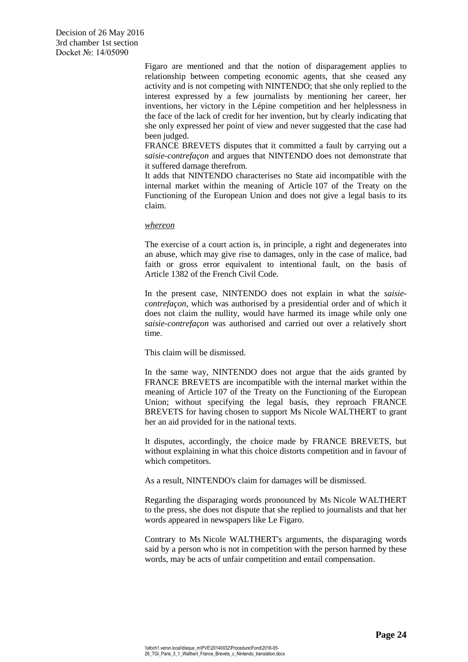Figaro are mentioned and that the notion of disparagement applies to relationship between competing economic agents, that she ceased any activity and is not competing with NINTENDO; that she only replied to the interest expressed by a few journalists by mentioning her career, her inventions, her victory in the Lépine competition and her helplessness in the face of the lack of credit for her invention, but by clearly indicating that she only expressed her point of view and never suggested that the case had been judged.

FRANCE BREVETS disputes that it committed a fault by carrying out a *saisie-contrefaçon* and argues that NINTENDO does not demonstrate that it suffered damage therefrom.

It adds that NINTENDO characterises no State aid incompatible with the internal market within the meaning of Article 107 of the Treaty on the Functioning of the European Union and does not give a legal basis to its claim.

## *whereon*

The exercise of a court action is, in principle, a right and degenerates into an abuse, which may give rise to damages, only in the case of malice, bad faith or gross error equivalent to intentional fault, on the basis of Article 1382 of the French Civil Code.

In the present case, NINTENDO does not explain in what the *saisiecontrefaçon*, which was authorised by a presidential order and of which it does not claim the nullity, would have harmed its image while only one *saisie-contrefaçon* was authorised and carried out over a relatively short time.

This claim will be dismissed.

In the same way, NINTENDO does not argue that the aids granted by FRANCE BREVETS are incompatible with the internal market within the meaning of Article 107 of the Treaty on the Functioning of the European Union; without specifying the legal basis, they reproach FRANCE BREVETS for having chosen to support Ms Nicole WALTHERT to grant her an aid provided for in the national texts.

It disputes, accordingly, the choice made by FRANCE BREVETS, but without explaining in what this choice distorts competition and in favour of which competitors.

As a result, NINTENDO's claim for damages will be dismissed.

Regarding the disparaging words pronounced by Ms Nicole WALTHERT to the press, she does not dispute that she replied to journalists and that her words appeared in newspapers like Le Figaro.

Contrary to Ms Nicole WALTHERT's arguments, the disparaging words said by a person who is not in competition with the person harmed by these words, may be acts of unfair competition and entail compensation.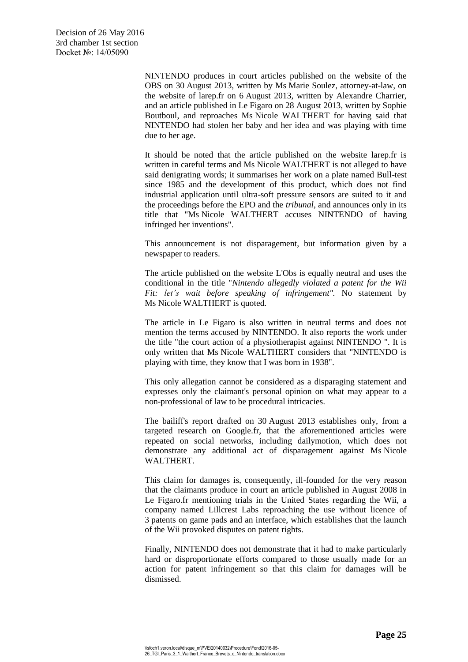NINTENDO produces in court articles published on the website of the OBS on 30 August 2013, written by Ms Marie Soulez, attorney-at-law, on the website of larep.fr on 6 August 2013, written by Alexandre Charrier, and an article published in Le Figaro on 28 August 2013, written by Sophie Boutboul, and reproaches Ms Nicole WALTHERT for having said that NINTENDO had stolen her baby and her idea and was playing with time due to her age.

It should be noted that the article published on the website larep.fr is written in careful terms and Ms Nicole WALTHERT is not alleged to have said denigrating words; it summarises her work on a plate named Bull-test since 1985 and the development of this product, which does not find industrial application until ultra-soft pressure sensors are suited to it and the proceedings before the EPO and the *tribunal*, and announces only in its title that "Ms Nicole WALTHERT accuses NINTENDO of having infringed her inventions".

This announcement is not disparagement, but information given by a newspaper to readers.

The article published on the website L'Obs is equally neutral and uses the conditional in the title "*Nintendo allegedly violated a patent for the Wii Fit: let's wait before speaking of infringement".* No statement by Ms Nicole WALTHERT is quoted.

The article in Le Figaro is also written in neutral terms and does not mention the terms accused by NINTENDO. It also reports the work under the title "the court action of a physiotherapist against NINTENDO ". It is only written that Ms Nicole WALTHERT considers that "NINTENDO is playing with time, they know that I was born in 1938".

This only allegation cannot be considered as a disparaging statement and expresses only the claimant's personal opinion on what may appear to a non-professional of law to be procedural intricacies.

The bailiff's report drafted on 30 August 2013 establishes only, from a targeted research on Google.fr, that the aforementioned articles were repeated on social networks, including dailymotion, which does not demonstrate any additional act of disparagement against Ms Nicole WALTHERT.

This claim for damages is, consequently, ill-founded for the very reason that the claimants produce in court an article published in August 2008 in Le Figaro.fr mentioning trials in the United States regarding the Wii, a company named Lillcrest Labs reproaching the use without licence of 3 patents on game pads and an interface, which establishes that the launch of the Wii provoked disputes on patent rights.

Finally, NINTENDO does not demonstrate that it had to make particularly hard or disproportionate efforts compared to those usually made for an action for patent infringement so that this claim for damages will be dismissed.